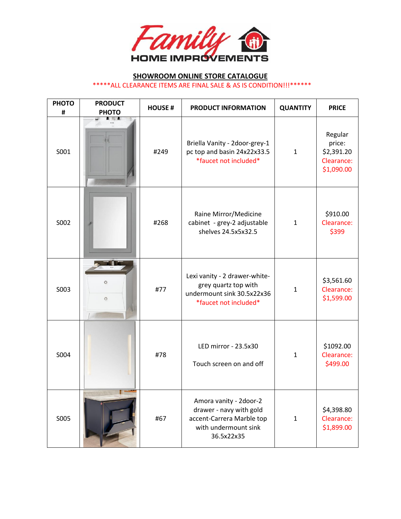

### **SHOWROOM ONLINE STORE CATALOGUE**

\*\*\*\*\*ALL CLEARANCE ITEMS ARE FINAL SALE & AS IS CONDITION!!!\*\*\*\*\*\*

| <b>PHOTO</b><br># | <b>PRODUCT</b><br><b>PHOTO</b> | <b>HOUSE#</b> | <b>PRODUCT INFORMATION</b>                                                                                           | <b>QUANTITY</b> | <b>PRICE</b>                                                |
|-------------------|--------------------------------|---------------|----------------------------------------------------------------------------------------------------------------------|-----------------|-------------------------------------------------------------|
| S001              |                                | #249          | Briella Vanity - 2door-grey-1<br>pc top and basin 24x22x33.5<br>*faucet not included*                                | $\mathbf{1}$    | Regular<br>price:<br>\$2,391.20<br>Clearance:<br>\$1,090.00 |
| S002              |                                | #268          | Raine Mirror/Medicine<br>cabinet - grey-2 adjustable<br>shelves 24.5x5x32.5                                          | $\mathbf{1}$    | \$910.00<br>Clearance:<br>\$399                             |
| S003              | $\circ$<br>$\circ$             | #77           | Lexi vanity - 2 drawer-white-<br>grey quartz top with<br>undermount sink 30.5x22x36<br>*faucet not included*         | $\mathbf{1}$    | \$3,561.60<br>Clearance:<br>\$1,599.00                      |
| S004              |                                | #78           | LED mirror - 23.5x30<br>Touch screen on and off                                                                      | $\mathbf{1}$    | \$1092.00<br>Clearance:<br>\$499.00                         |
| S005              |                                | #67           | Amora vanity - 2door-2<br>drawer - navy with gold<br>accent-Carrera Marble top<br>with undermount sink<br>36.5x22x35 | $\mathbf{1}$    | \$4,398.80<br>Clearance:<br>\$1,899.00                      |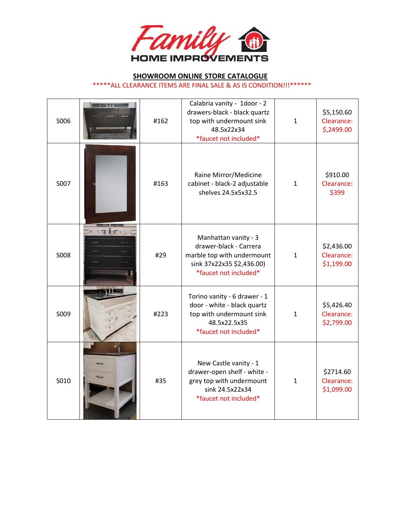

| S006        | $\rightarrow$ 715          | #162 | Calabria vanity - 1door - 2<br>drawers-black - black quartz<br>top with undermount sink<br>48.5x22x34<br>*faucet not included*     | $\mathbf{1}$ | \$5,150.60<br>Clearance:<br>\$,2499.00 |
|-------------|----------------------------|------|------------------------------------------------------------------------------------------------------------------------------------|--------------|----------------------------------------|
| S007        |                            | #163 | Raine Mirror/Medicine<br>cabinet - black-2 adjustable<br>shelves 24.5x5x32.5                                                       | $\mathbf{1}$ | \$910.00<br>Clearance:<br>\$399        |
| <b>SO08</b> | $\blacksquare$<br><b>f</b> | #29  | Manhattan vanity - 3<br>drawer-black - Carrera<br>marble top with undermount<br>sink 37x22x35 \$2,436.00)<br>*faucet not included* | $\mathbf{1}$ | \$2,436.00<br>Clearance:<br>\$1,199.00 |
| S009        |                            | #223 | Torino vanity - 6 drawer - 1<br>door - white - black quartz<br>top with undermount sink<br>48.5x22.5x35<br>*faucet not included*   | $\mathbf{1}$ | \$5,426.40<br>Clearance:<br>\$2,799.00 |
| S010        |                            | #35  | New Castle vanity - 1<br>drawer-open shelf - white -<br>grey top with undermount<br>sink 24.5x22x34<br>*faucet not included*       | $\mathbf{1}$ | \$2714.60<br>Clearance:<br>\$1,099.00  |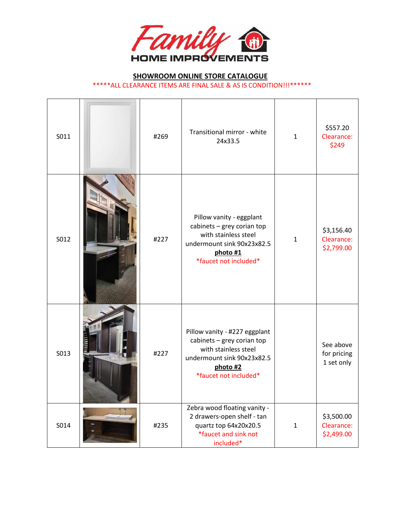

| S011 | #269 | Transitional mirror - white<br>24x33.5                                                                                                                 | $\mathbf{1}$ | \$557.20<br>Clearance:<br>\$249        |
|------|------|--------------------------------------------------------------------------------------------------------------------------------------------------------|--------------|----------------------------------------|
| S012 | #227 | Pillow vanity - eggplant<br>cabinets - grey corian top<br>with stainless steel<br>undermount sink 90x23x82.5<br>photo #1<br>*faucet not included*      | $\mathbf{1}$ | \$3,156.40<br>Clearance:<br>\$2,799.00 |
| S013 | #227 | Pillow vanity - #227 eggplant<br>cabinets - grey corian top<br>with stainless steel<br>undermount sink 90x23x82.5<br>photo #2<br>*faucet not included* |              | See above<br>for pricing<br>1 set only |
| S014 | #235 | Zebra wood floating vanity -<br>2 drawers-open shelf - tan<br>quartz top 64x20x20.5<br>*faucet and sink not<br>included*                               | $\mathbf{1}$ | \$3,500.00<br>Clearance:<br>\$2,499.00 |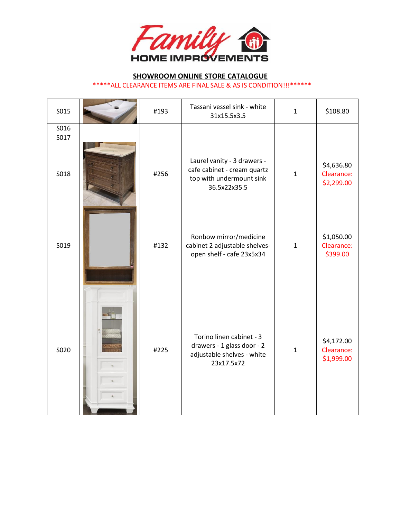

| S015 | #193 | Tassani vessel sink - white<br>31x15.5x3.5                                                             | $\mathbf{1}$ | \$108.80                               |
|------|------|--------------------------------------------------------------------------------------------------------|--------------|----------------------------------------|
| S016 |      |                                                                                                        |              |                                        |
| S017 |      |                                                                                                        |              |                                        |
| S018 | #256 | Laurel vanity - 3 drawers -<br>cafe cabinet - cream quartz<br>top with undermount sink<br>36.5x22x35.5 | $\mathbf{1}$ | \$4,636.80<br>Clearance:<br>\$2,299.00 |
| S019 | #132 | Ronbow mirror/medicine<br>cabinet 2 adjustable shelves-<br>open shelf - cafe 23x5x34                   | $\mathbf{1}$ | \$1,050.00<br>Clearance:<br>\$399.00   |
| S020 | #225 | Torino linen cabinet - 3<br>drawers - 1 glass door - 2<br>adjustable shelves - white<br>23x17.5x72     | $\mathbf{1}$ | \$4,172.00<br>Clearance:<br>\$1,999.00 |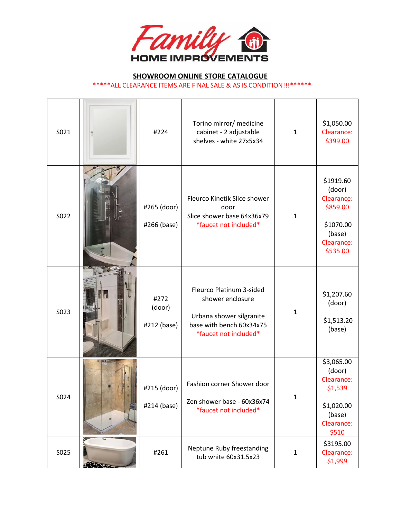

| S021 |                   | #224                          | Torino mirror/ medicine<br>cabinet - 2 adjustable<br>shelves - white 27x5x34                                                  | $\mathbf{1}$ | \$1,050.00<br>Clearance:<br>\$399.00                                                           |
|------|-------------------|-------------------------------|-------------------------------------------------------------------------------------------------------------------------------|--------------|------------------------------------------------------------------------------------------------|
| S022 |                   | #265 (door)<br>#266 (base)    | Fleurco Kinetik Slice shower<br>door<br>Slice shower base 64x36x79<br>*faucet not included*                                   | $\mathbf{1}$ | \$1919.60<br>(door)<br>Clearance:<br>\$859.00<br>\$1070.00<br>(base)<br>Clearance:<br>\$535.00 |
| S023 |                   | #272<br>(door)<br>#212 (base) | Fleurco Platinum 3-sided<br>shower enclosure<br>Urbana shower silgranite<br>base with bench 60x34x75<br>*faucet not included* | $\mathbf{1}$ | \$1,207.60<br>(door)<br>\$1,513.20<br>(base)                                                   |
| S024 |                   | #215 (door)<br>#214 (base)    | Fashion corner Shower door<br>Zen shower base - 60x36x74<br>*faucet not included*                                             | $\mathbf{1}$ | \$3,065.00<br>(door)<br>Clearance:<br>\$1,539<br>\$1,020.00<br>(base)<br>Clearance:<br>\$510   |
| S025 | $\leftrightarrow$ | #261                          | Neptune Ruby freestanding<br>tub white 60x31.5x23                                                                             | $\mathbf{1}$ | \$3195.00<br>Clearance:<br>\$1,999                                                             |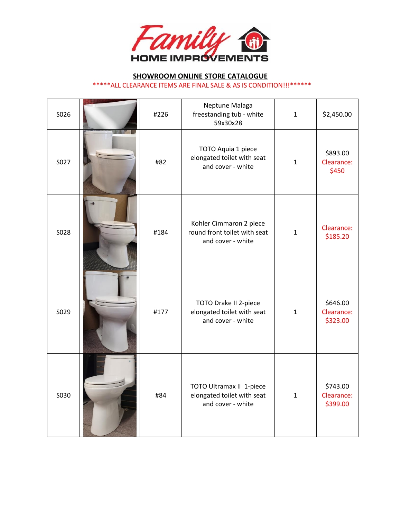

| S026 | #226 | Neptune Malaga<br>freestanding tub - white<br>59x30x28                       | $\mathbf{1}$ | \$2,450.00                         |
|------|------|------------------------------------------------------------------------------|--------------|------------------------------------|
| S027 | #82  | TOTO Aquia 1 piece<br>elongated toilet with seat<br>and cover - white        | $\mathbf{1}$ | \$893.00<br>Clearance:<br>\$450    |
| S028 | #184 | Kohler Cimmaron 2 piece<br>round front toilet with seat<br>and cover - white | $\mathbf{1}$ | Clearance:<br>\$185.20             |
| S029 | #177 | TOTO Drake II 2-piece<br>elongated toilet with seat<br>and cover - white     | $\mathbf{1}$ | \$646.00<br>Clearance:<br>\$323.00 |
| S030 | #84  | TOTO Ultramax II 1-piece<br>elongated toilet with seat<br>and cover - white  | $\mathbf{1}$ | \$743.00<br>Clearance:<br>\$399.00 |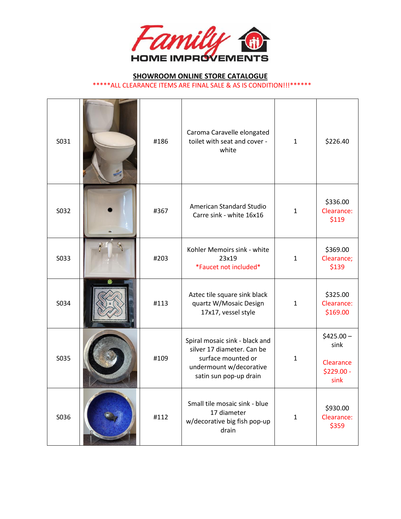

| S031 | #186 | Caroma Caravelle elongated<br>toilet with seat and cover -<br>white                                                                     | $\mathbf{1}$ | \$226.40                                               |
|------|------|-----------------------------------------------------------------------------------------------------------------------------------------|--------------|--------------------------------------------------------|
| S032 | #367 | American Standard Studio<br>Carre sink - white 16x16                                                                                    | $\mathbf{1}$ | \$336.00<br>Clearance:<br>\$119                        |
| S033 | #203 | Kohler Memoirs sink - white<br>23x19<br>*Faucet not included*                                                                           | $\mathbf{1}$ | \$369.00<br>Clearance;<br>\$139                        |
| S034 | #113 | Aztec tile square sink black<br>quartz W/Mosaic Design<br>17x17, vessel style                                                           | $\mathbf{1}$ | \$325.00<br>Clearance:<br>\$169.00                     |
| S035 | #109 | Spiral mosaic sink - black and<br>silver 17 diameter. Can be<br>surface mounted or<br>undermount w/decorative<br>satin sun pop-up drain | $\mathbf{1}$ | $$425.00 -$<br>sink<br>Clearance<br>\$229.00 -<br>sink |
| S036 | #112 | Small tile mosaic sink - blue<br>17 diameter<br>w/decorative big fish pop-up<br>drain                                                   | $\mathbf{1}$ | \$930.00<br>Clearance:<br>\$359                        |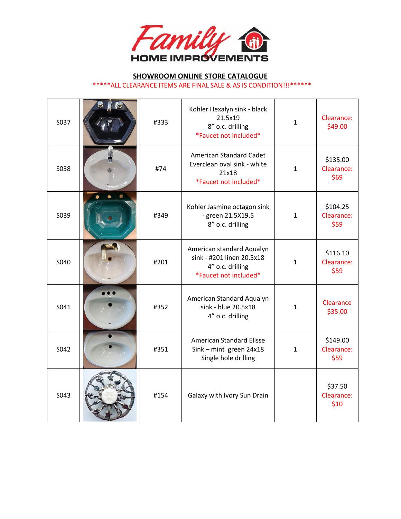

| S037 | #333 | Kohler Hexalyn sink - black<br>21.5x19<br>8" o.c. drilling<br>*Faucet not included*                 | $\mathbf{1}$ | Clearance:<br>\$49.00          |
|------|------|-----------------------------------------------------------------------------------------------------|--------------|--------------------------------|
| S038 | #74  | <b>American Standard Cadet</b><br>Everclean oval sink - white<br>21x18<br>*Faucet not included*     | $\mathbf{1}$ | \$135.00<br>Clearance:<br>\$69 |
| S039 | #349 | Kohler Jasmine octagon sink<br>- green 21.5X19.5<br>8" o.c. drilling                                | $\mathbf{1}$ | \$104.25<br>Clearance:<br>\$59 |
| S040 | #201 | American standard Aqualyn<br>sink - #201 linen 20.5x18<br>4" o.c. drilling<br>*Faucet not included* | $\mathbf{1}$ | \$116.10<br>Clearance:<br>\$59 |
| S041 | #352 | American Standard Aqualyn<br>sink - blue 20.5x18<br>4" o.c. drilling                                | $\mathbf{1}$ | Clearance<br>\$35.00           |
| S042 | #351 | <b>American Standard Elisse</b><br>Sink - mint green 24x18<br>Single hole drilling                  | $\mathbf{1}$ | \$149.00<br>Clearance:<br>\$59 |
| S043 | #154 | Galaxy with Ivory Sun Drain                                                                         |              | \$37.50<br>Clearance:<br>\$10  |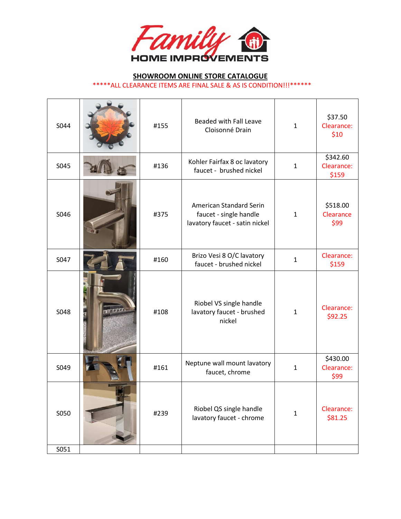

| S044 |                     | #155 | <b>Beaded with Fall Leave</b><br>Cloisonné Drain                                    | $\mathbf{1}$ | \$37.50<br>Clearance:<br>\$10   |
|------|---------------------|------|-------------------------------------------------------------------------------------|--------------|---------------------------------|
| S045 |                     | #136 | Kohler Fairfax 8 oc lavatory<br>faucet - brushed nickel                             | $\mathbf{1}$ | \$342.60<br>Clearance:<br>\$159 |
| S046 |                     | #375 | American Standard Serin<br>faucet - single handle<br>lavatory faucet - satin nickel | $\mathbf{1}$ | \$518.00<br>Clearance<br>\$99   |
| S047 |                     | #160 | Brizo Vesi 8 O/C lavatory<br>faucet - brushed nickel                                | $\mathbf{1}$ | Clearance:<br>\$159             |
| S048 | <b>The Research</b> | #108 | Riobel VS single handle<br>lavatory faucet - brushed<br>nickel                      | $\mathbf{1}$ | Clearance:<br>\$92.25           |
| S049 |                     | #161 | Neptune wall mount lavatory<br>faucet, chrome                                       | $\mathbf{1}$ | \$430.00<br>Clearance:<br>\$99  |
| S050 |                     | #239 | Riobel QS single handle<br>lavatory faucet - chrome                                 | $\mathbf{1}$ | Clearance:<br>\$81.25           |
| S051 |                     |      |                                                                                     |              |                                 |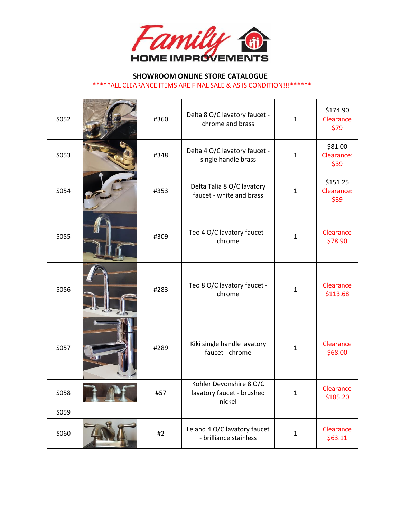

| S052 | #360 | Delta 8 O/C lavatory faucet -<br>chrome and brass              | $\mathbf{1}$ | \$174.90<br>Clearance<br>\$79  |
|------|------|----------------------------------------------------------------|--------------|--------------------------------|
| S053 | #348 | Delta 4 O/C lavatory faucet -<br>single handle brass           | $\mathbf{1}$ | \$81.00<br>Clearance:<br>\$39  |
| S054 | #353 | Delta Talia 8 O/C lavatory<br>faucet - white and brass         | $\mathbf{1}$ | \$151.25<br>Clearance:<br>\$39 |
| S055 | #309 | Teo 4 O/C lavatory faucet -<br>chrome                          | $\mathbf{1}$ | Clearance<br>\$78.90           |
| S056 | #283 | Teo 8 O/C lavatory faucet -<br>chrome                          | $\mathbf{1}$ | Clearance<br>\$113.68          |
| S057 | #289 | Kiki single handle lavatory<br>faucet - chrome                 | $\mathbf{1}$ | Clearance<br>\$68.00           |
| S058 | H5/  | Kohler Devonshire 8 O/C<br>lavatory faucet - brushed<br>nickel | T.           | Clearance<br>\$185.20          |
| S059 |      |                                                                |              |                                |
| S060 | #2   | Leland 4 O/C lavatory faucet<br>- brilliance stainless         | $\mathbf 1$  | Clearance<br>\$63.11           |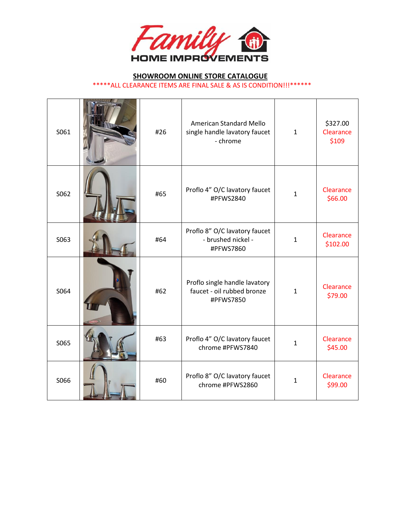

| S061 | #26 | <b>American Standard Mello</b><br>single handle lavatory faucet<br>- chrome | $\mathbf{1}$ | \$327.00<br>Clearance<br>\$109 |
|------|-----|-----------------------------------------------------------------------------|--------------|--------------------------------|
| S062 | #65 | Proflo 4" O/C lavatory faucet<br>#PFWS2840                                  | $\mathbf{1}$ | Clearance<br>\$66.00           |
| S063 | #64 | Proflo 8" O/C lavatory faucet<br>- brushed nickel -<br>#PFWS7860            | $\mathbf{1}$ | Clearance<br>\$102.00          |
| S064 | #62 | Proflo single handle lavatory<br>faucet - oil rubbed bronze<br>#PFWS7850    | $\mathbf{1}$ | Clearance<br>\$79.00           |
| S065 | #63 | Proflo 4" O/C lavatory faucet<br>chrome #PFWS7840                           | $\mathbf{1}$ | Clearance<br>\$45.00           |
| S066 | #60 | Proflo 8" O/C lavatory faucet<br>chrome #PFWS2860                           | $\mathbf{1}$ | Clearance<br>\$99.00           |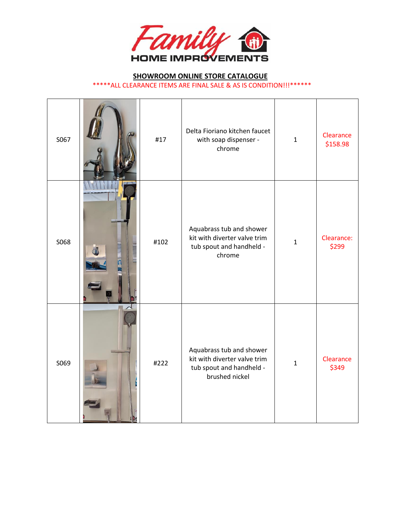

# **SHOWROOM ONLINE STORE CATALOGUE**

| *****ALL CLEARANCE ITEMS ARE FINAL SALE & AS IS CONDITION!!!****** |  |
|--------------------------------------------------------------------|--|
|                                                                    |  |

| S067 | #17  | Delta Fioriano kitchen faucet<br>with soap dispenser -<br>chrome                                       | $\mathbf{1}$ | Clearance<br>\$158.98 |
|------|------|--------------------------------------------------------------------------------------------------------|--------------|-----------------------|
| S068 | #102 | Aquabrass tub and shower<br>kit with diverter valve trim<br>tub spout and handheld -<br>chrome         | $\mathbf{1}$ | Clearance:<br>\$299   |
| S069 | #222 | Aquabrass tub and shower<br>kit with diverter valve trim<br>tub spout and handheld -<br>brushed nickel | $\mathbf{1}$ | Clearance<br>\$349    |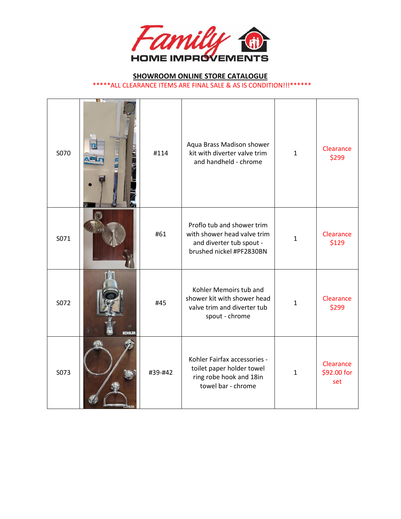

## **SHOWROOM ONLINE STORE CATALOGUE**

\*\*\*\*\*ALL CLEARANCE ITEMS ARE FINAL SALE & AS IS CONDITION!!!\*\*\*\*\*\*

| S070 | <b>KIZ</b><br><b>RAN</b> | #114    | Aqua Brass Madison shower<br>kit with diverter valve trim<br>and handheld - chrome                                | $\mathbf{1}$ | Clearance<br>\$299              |
|------|--------------------------|---------|-------------------------------------------------------------------------------------------------------------------|--------------|---------------------------------|
| S071 |                          | #61     | Proflo tub and shower trim<br>with shower head valve trim<br>and diverter tub spout -<br>brushed nickel #PF2830BN | $\mathbf{1}$ | Clearance<br>\$129              |
| S072 | <b>KOHLER</b>            | #45     | Kohler Memoirs tub and<br>shower kit with shower head<br>valve trim and diverter tub<br>spout - chrome            | $\mathbf{1}$ | Clearance<br>\$299              |
| S073 |                          | #39-#42 | Kohler Fairfax accessories -<br>toilet paper holder towel<br>ring robe hook and 18in<br>towel bar - chrome        | $\mathbf{1}$ | Clearance<br>\$92.00 for<br>set |